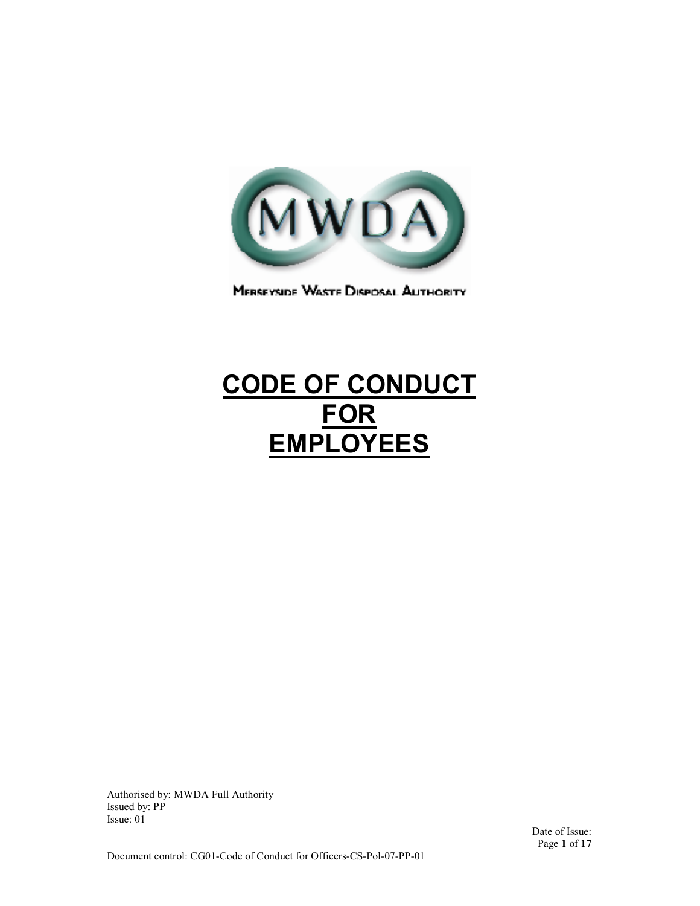

MERSEYSIDE WASTE DISPOSAL AUTHORITY

# **CODE OF CONDUCT FOR EMPLOYEES**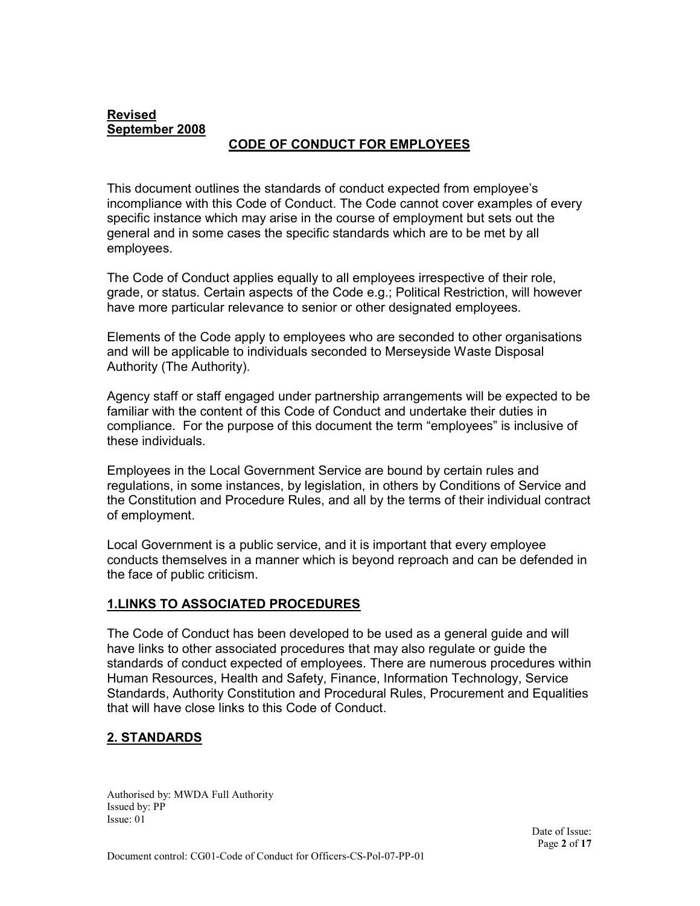# **Revised September 2008**

# **CODE OF CONDUCT FOR EMPLOYEES**

This document outlines the standards of conduct expected from employee's incompliance with this Code of Conduct. The Code cannot cover examples of every specific instance which may arise in the course of employment but sets out the general and in some cases the specific standards which are to be met by all employees.

The Code of Conduct applies equally to all employees irrespective of their role, grade, or status. Certain aspects of the Code e.g.; Political Restriction, will however have more particular relevance to senior or other designated employees.

Elements of the Code apply to employees who are seconded to other organisations and will be applicable to individuals seconded to Merseyside Waste Disposal Authority (The Authority).

Agency staff or staff engaged under partnership arrangements will be expected to be familiar with the content of this Code of Conduct and undertake their duties in compliance. For the purpose of this document the term "employees" is inclusive of these individuals.

Employees in the Local Government Service are bound by certain rules and regulations, in some instances, by legislation, in others by Conditions of Service and the Constitution and Procedure Rules, and all by the terms of their individual contract of employment.

Local Government is a public service, and it is important that every employee conducts themselves in a manner which is beyond reproach and can be defended in the face of public criticism.

#### **1.LINKS TO ASSOCIATED PROCEDURES**

The Code of Conduct has been developed to be used as a general guide and will have links to other associated procedures that may also regulate or guide the standards of conduct expected of employees. There are numerous procedures within Human Resources, Health and Safety, Finance, Information Technology, Service Standards, Authority Constitution and Procedural Rules, Procurement and Equalities that will have close links to this Code of Conduct.

# **2. STANDARDS**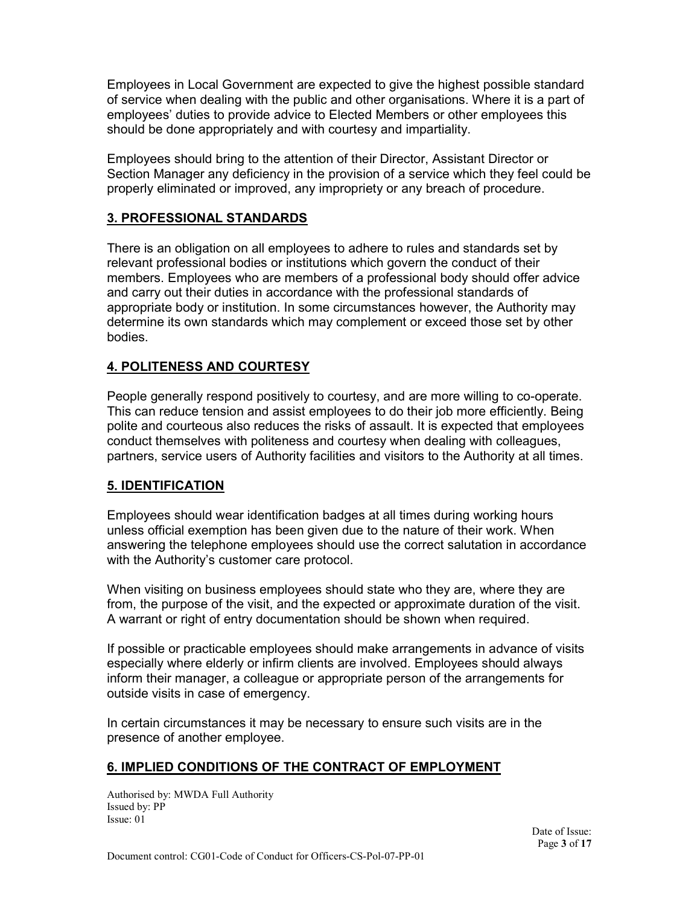Employees in Local Government are expected to give the highest possible standard of service when dealing with the public and other organisations. Where it is a part of employees' duties to provide advice to Elected Members or other employees this should be done appropriately and with courtesy and impartiality.

Employees should bring to the attention of their Director, Assistant Director or Section Manager any deficiency in the provision of a service which they feel could be properly eliminated or improved, any impropriety or any breach of procedure.

# **3. PROFESSIONAL STANDARDS**

There is an obligation on all employees to adhere to rules and standards set by relevant professional bodies or institutions which govern the conduct of their members. Employees who are members of a professional body should offer advice and carry out their duties in accordance with the professional standards of appropriate body or institution. In some circumstances however, the Authority may determine its own standards which may complement or exceed those set by other bodies.

# **4. POLITENESS AND COURTESY**

People generally respond positively to courtesy, and are more willing to co-operate. This can reduce tension and assist employees to do their job more efficiently. Being polite and courteous also reduces the risks of assault. It is expected that employees conduct themselves with politeness and courtesy when dealing with colleagues, partners, service users of Authority facilities and visitors to the Authority at all times.

# **5. IDENTIFICATION**

Employees should wear identification badges at all times during working hours unless official exemption has been given due to the nature of their work. When answering the telephone employees should use the correct salutation in accordance with the Authority's customer care protocol.

When visiting on business employees should state who they are, where they are from, the purpose of the visit, and the expected or approximate duration of the visit. A warrant or right of entry documentation should be shown when required.

If possible or practicable employees should make arrangements in advance of visits especially where elderly or infirm clients are involved. Employees should always inform their manager, a colleague or appropriate person of the arrangements for outside visits in case of emergency.

In certain circumstances it may be necessary to ensure such visits are in the presence of another employee.

#### **6. IMPLIED CONDITIONS OF THE CONTRACT OF EMPLOYMENT**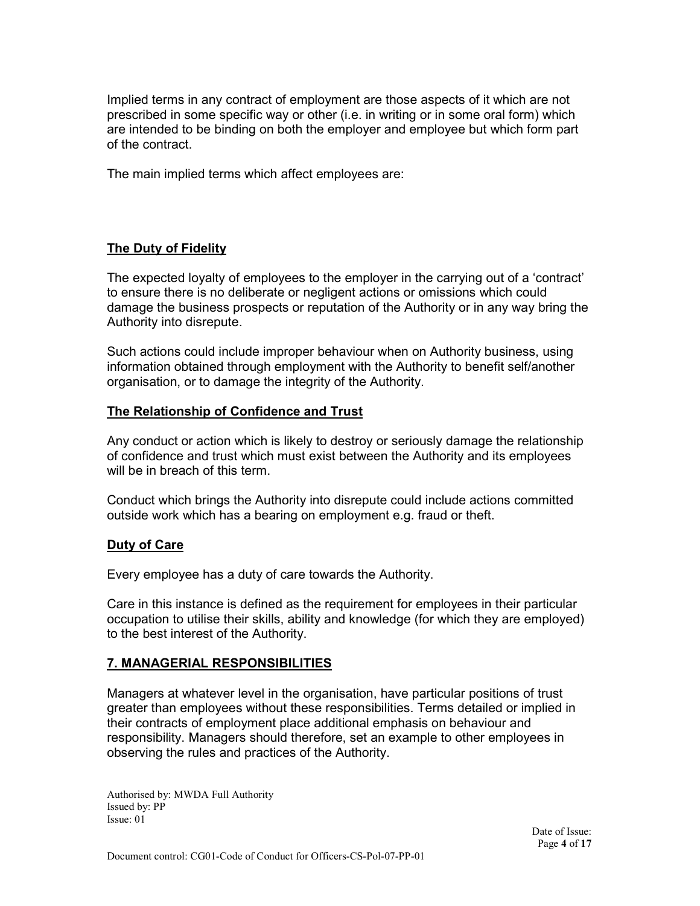Implied terms in any contract of employment are those aspects of it which are not prescribed in some specific way or other (i.e. in writing or in some oral form) which are intended to be binding on both the employer and employee but which form part of the contract.

The main implied terms which affect employees are:

#### **The Duty of Fidelity**

The expected loyalty of employees to the employer in the carrying out of a 'contract' to ensure there is no deliberate or negligent actions or omissions which could damage the business prospects or reputation of the Authority or in any way bring the Authority into disrepute.

Such actions could include improper behaviour when on Authority business, using information obtained through employment with the Authority to benefit self/another organisation, or to damage the integrity of the Authority.

#### **The Relationship of Confidence and Trust**

Any conduct or action which is likely to destroy or seriously damage the relationship of confidence and trust which must exist between the Authority and its employees will be in breach of this term.

Conduct which brings the Authority into disrepute could include actions committed outside work which has a bearing on employment e.g. fraud or theft.

#### **Duty of Care**

Every employee has a duty of care towards the Authority.

Care in this instance is defined as the requirement for employees in their particular occupation to utilise their skills, ability and knowledge (for which they are employed) to the best interest of the Authority.

#### **7. MANAGERIAL RESPONSIBILITIES**

Managers at whatever level in the organisation, have particular positions of trust greater than employees without these responsibilities. Terms detailed or implied in their contracts of employment place additional emphasis on behaviour and responsibility. Managers should therefore, set an example to other employees in observing the rules and practices of the Authority.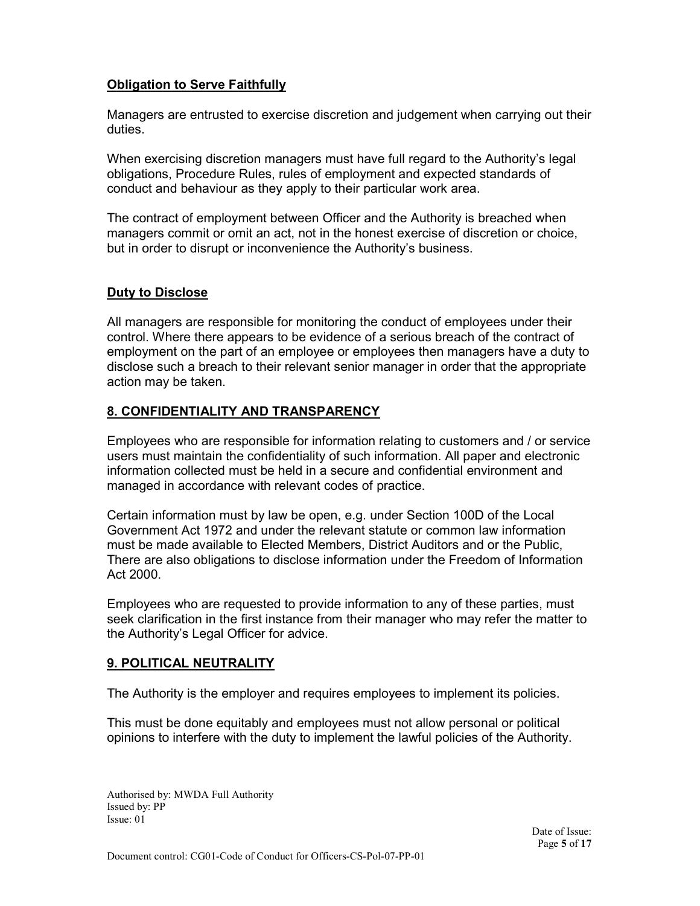# **Obligation to Serve Faithfully**

Managers are entrusted to exercise discretion and judgement when carrying out their duties.

When exercising discretion managers must have full regard to the Authority's legal obligations, Procedure Rules, rules of employment and expected standards of conduct and behaviour as they apply to their particular work area.

The contract of employment between Officer and the Authority is breached when managers commit or omit an act, not in the honest exercise of discretion or choice, but in order to disrupt or inconvenience the Authority's business.

#### **Duty to Disclose**

All managers are responsible for monitoring the conduct of employees under their control. Where there appears to be evidence of a serious breach of the contract of employment on the part of an employee or employees then managers have a duty to disclose such a breach to their relevant senior manager in order that the appropriate action may be taken.

#### **8. CONFIDENTIALITY AND TRANSPARENCY**

Employees who are responsible for information relating to customers and / or service users must maintain the confidentiality of such information. All paper and electronic information collected must be held in a secure and confidential environment and managed in accordance with relevant codes of practice.

Certain information must by law be open, e.g. under Section 100D of the Local Government Act 1972 and under the relevant statute or common law information must be made available to Elected Members, District Auditors and or the Public, There are also obligations to disclose information under the Freedom of Information Act 2000.

Employees who are requested to provide information to any of these parties, must seek clarification in the first instance from their manager who may refer the matter to the Authority's Legal Officer for advice.

# **9. POLITICAL NEUTRALITY**

The Authority is the employer and requires employees to implement its policies.

This must be done equitably and employees must not allow personal or political opinions to interfere with the duty to implement the lawful policies of the Authority.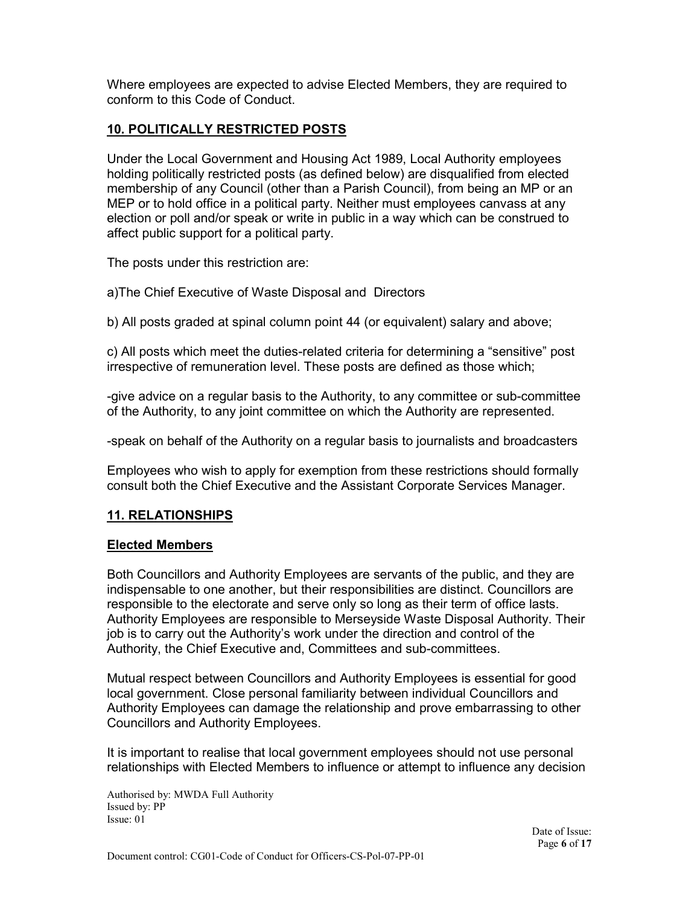Where employees are expected to advise Elected Members, they are required to conform to this Code of Conduct.

# **10. POLITICALLY RESTRICTED POSTS**

Under the Local Government and Housing Act 1989, Local Authority employees holding politically restricted posts (as defined below) are disqualified from elected membership of any Council (other than a Parish Council), from being an MP or an MEP or to hold office in a political party. Neither must employees canvass at any election or poll and/or speak or write in public in a way which can be construed to affect public support for a political party.

The posts under this restriction are:

a)The Chief Executive of Waste Disposal and Directors

b) All posts graded at spinal column point 44 (or equivalent) salary and above;

c) All posts which meet the duties-related criteria for determining a "sensitive" post irrespective of remuneration level. These posts are defined as those which;

-give advice on a regular basis to the Authority, to any committee or sub-committee of the Authority, to any joint committee on which the Authority are represented.

-speak on behalf of the Authority on a regular basis to journalists and broadcasters

Employees who wish to apply for exemption from these restrictions should formally consult both the Chief Executive and the Assistant Corporate Services Manager.

# **11. RELATIONSHIPS**

#### **Elected Members**

Both Councillors and Authority Employees are servants of the public, and they are indispensable to one another, but their responsibilities are distinct. Councillors are responsible to the electorate and serve only so long as their term of office lasts. Authority Employees are responsible to Merseyside Waste Disposal Authority. Their job is to carry out the Authority's work under the direction and control of the Authority, the Chief Executive and, Committees and sub-committees.

Mutual respect between Councillors and Authority Employees is essential for good local government. Close personal familiarity between individual Councillors and Authority Employees can damage the relationship and prove embarrassing to other Councillors and Authority Employees.

It is important to realise that local government employees should not use personal relationships with Elected Members to influence or attempt to influence any decision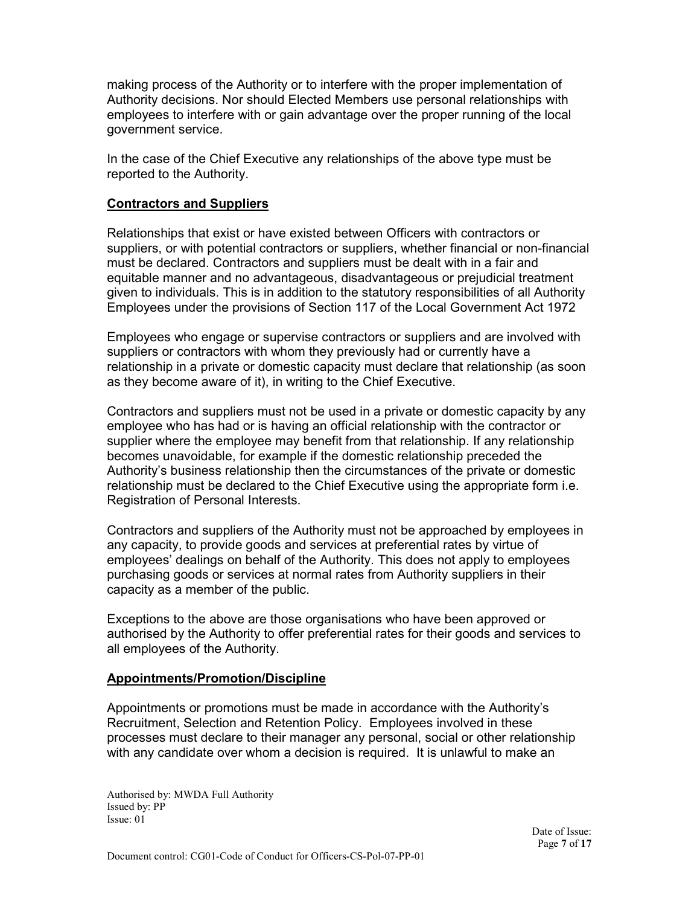making process of the Authority or to interfere with the proper implementation of Authority decisions. Nor should Elected Members use personal relationships with employees to interfere with or gain advantage over the proper running of the local government service.

In the case of the Chief Executive any relationships of the above type must be reported to the Authority.

#### **Contractors and Suppliers**

Relationships that exist or have existed between Officers with contractors or suppliers, or with potential contractors or suppliers, whether financial or non-financial must be declared. Contractors and suppliers must be dealt with in a fair and equitable manner and no advantageous, disadvantageous or prejudicial treatment given to individuals. This is in addition to the statutory responsibilities of all Authority Employees under the provisions of Section 117 of the Local Government Act 1972

Employees who engage or supervise contractors or suppliers and are involved with suppliers or contractors with whom they previously had or currently have a relationship in a private or domestic capacity must declare that relationship (as soon as they become aware of it), in writing to the Chief Executive.

Contractors and suppliers must not be used in a private or domestic capacity by any employee who has had or is having an official relationship with the contractor or supplier where the employee may benefit from that relationship. If any relationship becomes unavoidable, for example if the domestic relationship preceded the Authority's business relationship then the circumstances of the private or domestic relationship must be declared to the Chief Executive using the appropriate form i.e. Registration of Personal Interests.

Contractors and suppliers of the Authority must not be approached by employees in any capacity, to provide goods and services at preferential rates by virtue of employees' dealings on behalf of the Authority. This does not apply to employees purchasing goods or services at normal rates from Authority suppliers in their capacity as a member of the public.

Exceptions to the above are those organisations who have been approved or authorised by the Authority to offer preferential rates for their goods and services to all employees of the Authority.

#### **Appointments/Promotion/Discipline**

Appointments or promotions must be made in accordance with the Authority's Recruitment, Selection and Retention Policy. Employees involved in these processes must declare to their manager any personal, social or other relationship with any candidate over whom a decision is required. It is unlawful to make an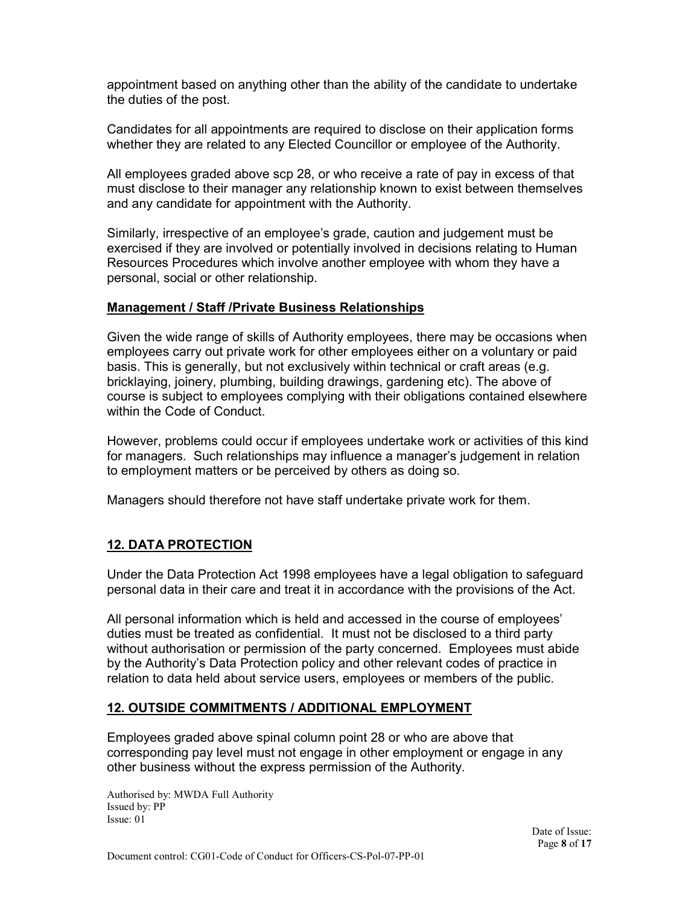appointment based on anything other than the ability of the candidate to undertake the duties of the post.

Candidates for all appointments are required to disclose on their application forms whether they are related to any Elected Councillor or employee of the Authority.

All employees graded above scp 28, or who receive a rate of pay in excess of that must disclose to their manager any relationship known to exist between themselves and any candidate for appointment with the Authority.

Similarly, irrespective of an employee's grade, caution and judgement must be exercised if they are involved or potentially involved in decisions relating to Human Resources Procedures which involve another employee with whom they have a personal, social or other relationship.

#### **Management / Staff /Private Business Relationships**

Given the wide range of skills of Authority employees, there may be occasions when employees carry out private work for other employees either on a voluntary or paid basis. This is generally, but not exclusively within technical or craft areas (e.g. bricklaying, joinery, plumbing, building drawings, gardening etc). The above of course is subject to employees complying with their obligations contained elsewhere within the Code of Conduct.

However, problems could occur if employees undertake work or activities of this kind for managers. Such relationships may influence a manager's judgement in relation to employment matters or be perceived by others as doing so.

Managers should therefore not have staff undertake private work for them.

# **12. DATA PROTECTION**

Under the Data Protection Act 1998 employees have a legal obligation to safeguard personal data in their care and treat it in accordance with the provisions of the Act.

All personal information which is held and accessed in the course of employees' duties must be treated as confidential. It must not be disclosed to a third party without authorisation or permission of the party concerned. Employees must abide by the Authority's Data Protection policy and other relevant codes of practice in relation to data held about service users, employees or members of the public.

#### **12. OUTSIDE COMMITMENTS / ADDITIONAL EMPLOYMENT**

Employees graded above spinal column point 28 or who are above that corresponding pay level must not engage in other employment or engage in any other business without the express permission of the Authority.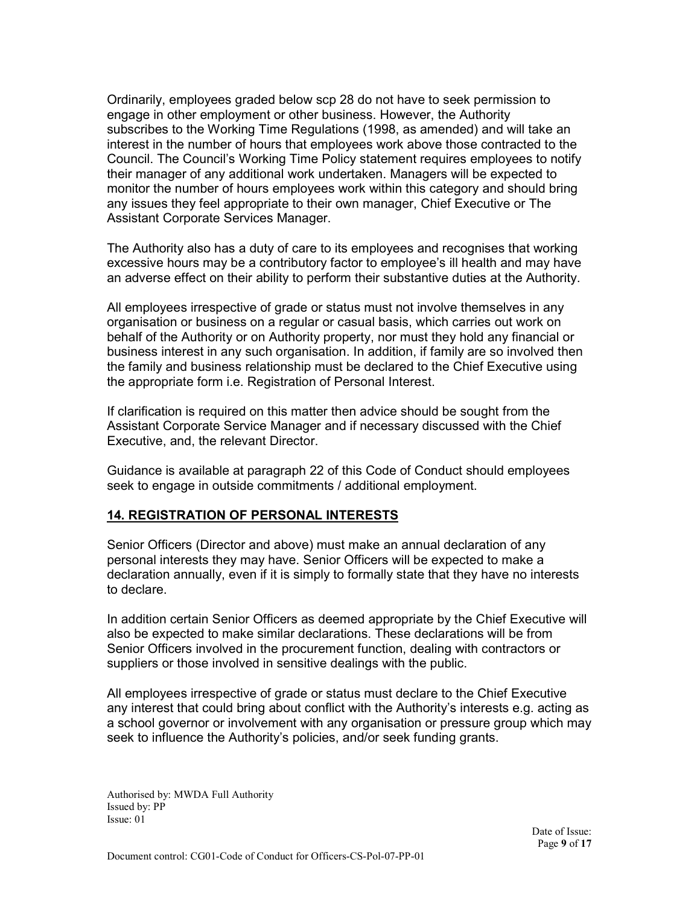Ordinarily, employees graded below scp 28 do not have to seek permission to engage in other employment or other business. However, the Authority subscribes to the Working Time Regulations (1998, as amended) and will take an interest in the number of hours that employees work above those contracted to the Council. The Council's Working Time Policy statement requires employees to notify their manager of any additional work undertaken. Managers will be expected to monitor the number of hours employees work within this category and should bring any issues they feel appropriate to their own manager, Chief Executive or The Assistant Corporate Services Manager.

The Authority also has a duty of care to its employees and recognises that working excessive hours may be a contributory factor to employee's ill health and may have an adverse effect on their ability to perform their substantive duties at the Authority.

All employees irrespective of grade or status must not involve themselves in any organisation or business on a regular or casual basis, which carries out work on behalf of the Authority or on Authority property, nor must they hold any financial or business interest in any such organisation. In addition, if family are so involved then the family and business relationship must be declared to the Chief Executive using the appropriate form i.e. Registration of Personal Interest.

If clarification is required on this matter then advice should be sought from the Assistant Corporate Service Manager and if necessary discussed with the Chief Executive, and, the relevant Director.

Guidance is available at paragraph 22 of this Code of Conduct should employees seek to engage in outside commitments / additional employment.

#### **14. REGISTRATION OF PERSONAL INTERESTS**

Senior Officers (Director and above) must make an annual declaration of any personal interests they may have. Senior Officers will be expected to make a declaration annually, even if it is simply to formally state that they have no interests to declare.

In addition certain Senior Officers as deemed appropriate by the Chief Executive will also be expected to make similar declarations. These declarations will be from Senior Officers involved in the procurement function, dealing with contractors or suppliers or those involved in sensitive dealings with the public.

All employees irrespective of grade or status must declare to the Chief Executive any interest that could bring about conflict with the Authority's interests e.g. acting as a school governor or involvement with any organisation or pressure group which may seek to influence the Authority's policies, and/or seek funding grants.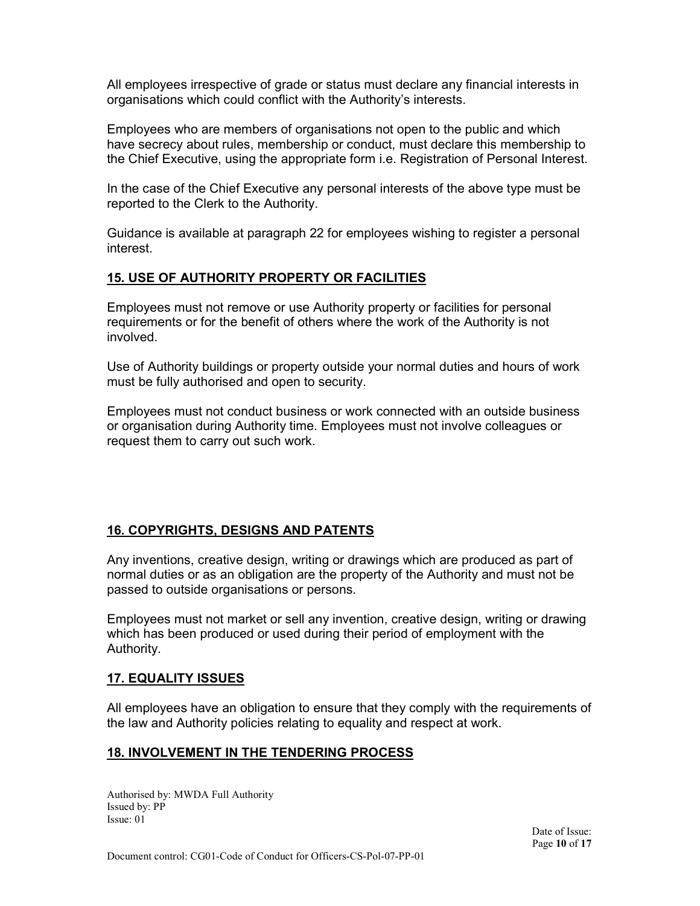All employees irrespective of grade or status must declare any financial interests in organisations which could conflict with the Authority's interests.

Employees who are members of organisations not open to the public and which have secrecy about rules, membership or conduct, must declare this membership to the Chief Executive, using the appropriate form i.e. Registration of Personal Interest.

In the case of the Chief Executive any personal interests of the above type must be reported to the Clerk to the Authority.

Guidance is available at paragraph 22 for employees wishing to register a personal interest.

#### **15. USE OF AUTHORITY PROPERTY OR FACILITIES**

Employees must not remove or use Authority property or facilities for personal requirements or for the benefit of others where the work of the Authority is not involved.

Use of Authority buildings or property outside your normal duties and hours of work must be fully authorised and open to security.

Employees must not conduct business or work connected with an outside business or organisation during Authority time. Employees must not involve colleagues or request them to carry out such work.

#### **16. COPYRIGHTS, DESIGNS AND PATENTS**

Any inventions, creative design, writing or drawings which are produced as part of normal duties or as an obligation are the property of the Authority and must not be passed to outside organisations or persons.

Employees must not market or sell any invention, creative design, writing or drawing which has been produced or used during their period of employment with the Authority.

#### **17. EQUALITY ISSUES**

All employees have an obligation to ensure that they comply with the requirements of the law and Authority policies relating to equality and respect at work.

#### **18. INVOLVEMENT IN THE TENDERING PROCESS**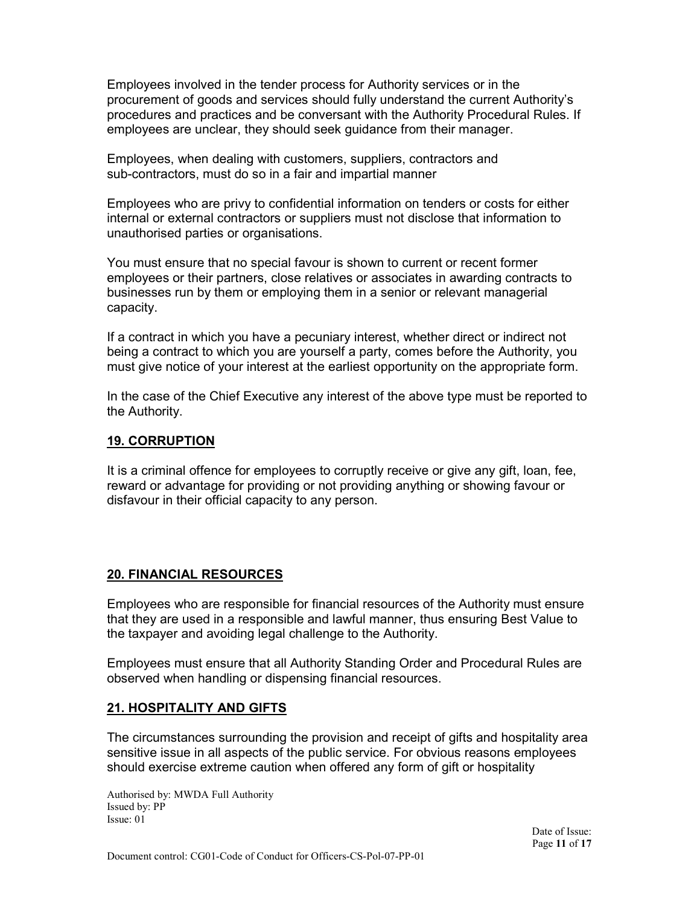Employees involved in the tender process for Authority services or in the procurement of goods and services should fully understand the current Authority's procedures and practices and be conversant with the Authority Procedural Rules. If employees are unclear, they should seek guidance from their manager.

Employees, when dealing with customers, suppliers, contractors and sub-contractors, must do so in a fair and impartial manner

Employees who are privy to confidential information on tenders or costs for either internal or external contractors or suppliers must not disclose that information to unauthorised parties or organisations.

You must ensure that no special favour is shown to current or recent former employees or their partners, close relatives or associates in awarding contracts to businesses run by them or employing them in a senior or relevant managerial capacity.

If a contract in which you have a pecuniary interest, whether direct or indirect not being a contract to which you are yourself a party, comes before the Authority, you must give notice of your interest at the earliest opportunity on the appropriate form.

In the case of the Chief Executive any interest of the above type must be reported to the Authority.

#### **19. CORRUPTION**

It is a criminal offence for employees to corruptly receive or give any gift, loan, fee, reward or advantage for providing or not providing anything or showing favour or disfavour in their official capacity to any person.

#### **20. FINANCIAL RESOURCES**

Employees who are responsible for financial resources of the Authority must ensure that they are used in a responsible and lawful manner, thus ensuring Best Value to the taxpayer and avoiding legal challenge to the Authority.

Employees must ensure that all Authority Standing Order and Procedural Rules are observed when handling or dispensing financial resources.

#### **21. HOSPITALITY AND GIFTS**

The circumstances surrounding the provision and receipt of gifts and hospitality area sensitive issue in all aspects of the public service. For obvious reasons employees should exercise extreme caution when offered any form of gift or hospitality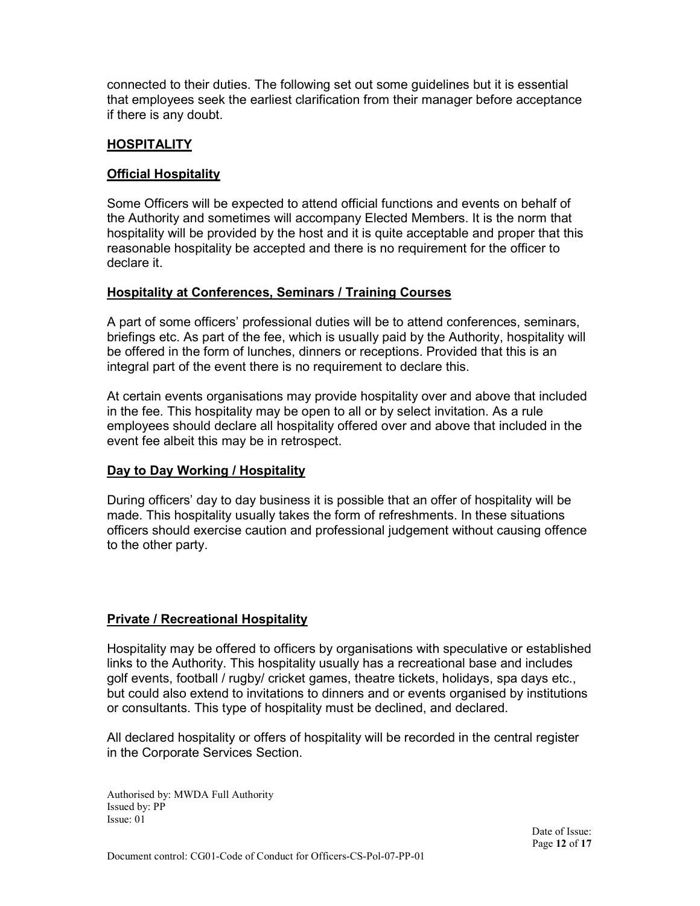connected to their duties. The following set out some guidelines but it is essential that employees seek the earliest clarification from their manager before acceptance if there is any doubt.

# **HOSPITALITY**

#### **Official Hospitality**

Some Officers will be expected to attend official functions and events on behalf of the Authority and sometimes will accompany Elected Members. It is the norm that hospitality will be provided by the host and it is quite acceptable and proper that this reasonable hospitality be accepted and there is no requirement for the officer to declare it.

#### **Hospitality at Conferences, Seminars / Training Courses**

A part of some officers' professional duties will be to attend conferences, seminars, briefings etc. As part of the fee, which is usually paid by the Authority, hospitality will be offered in the form of lunches, dinners or receptions. Provided that this is an integral part of the event there is no requirement to declare this.

At certain events organisations may provide hospitality over and above that included in the fee. This hospitality may be open to all or by select invitation. As a rule employees should declare all hospitality offered over and above that included in the event fee albeit this may be in retrospect.

#### **Day to Day Working / Hospitality**

During officers' day to day business it is possible that an offer of hospitality will be made. This hospitality usually takes the form of refreshments. In these situations officers should exercise caution and professional judgement without causing offence to the other party.

#### **Private / Recreational Hospitality**

Hospitality may be offered to officers by organisations with speculative or established links to the Authority. This hospitality usually has a recreational base and includes golf events, football / rugby/ cricket games, theatre tickets, holidays, spa days etc., but could also extend to invitations to dinners and or events organised by institutions or consultants. This type of hospitality must be declined, and declared.

All declared hospitality or offers of hospitality will be recorded in the central register in the Corporate Services Section.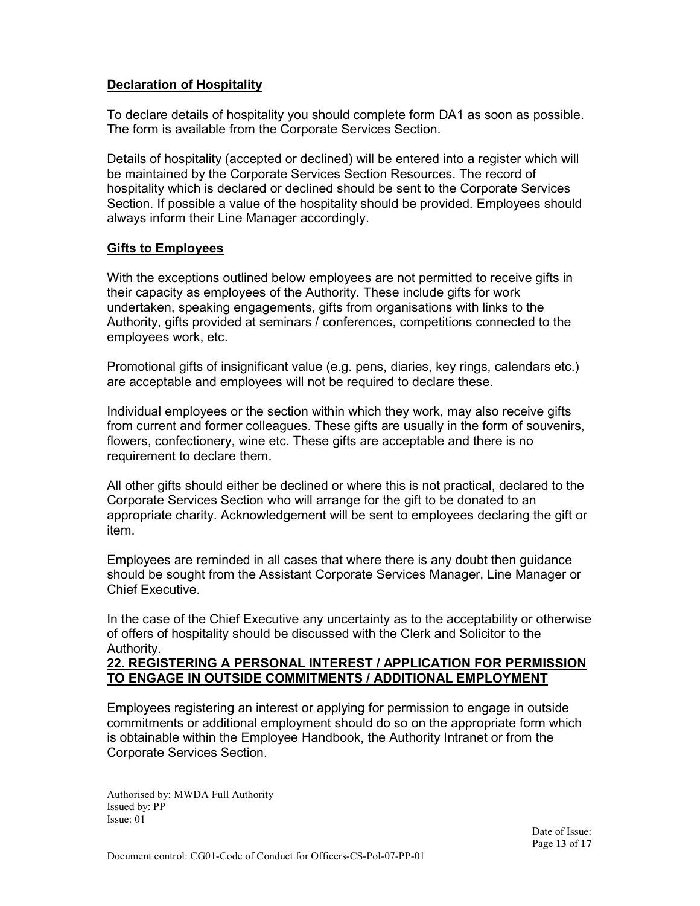#### **Declaration of Hospitality**

To declare details of hospitality you should complete form DA1 as soon as possible. The form is available from the Corporate Services Section.

Details of hospitality (accepted or declined) will be entered into a register which will be maintained by the Corporate Services Section Resources. The record of hospitality which is declared or declined should be sent to the Corporate Services Section. If possible a value of the hospitality should be provided. Employees should always inform their Line Manager accordingly.

#### **Gifts to Employees**

With the exceptions outlined below employees are not permitted to receive gifts in their capacity as employees of the Authority. These include gifts for work undertaken, speaking engagements, gifts from organisations with links to the Authority, gifts provided at seminars / conferences, competitions connected to the employees work, etc.

Promotional gifts of insignificant value (e.g. pens, diaries, key rings, calendars etc.) are acceptable and employees will not be required to declare these.

Individual employees or the section within which they work, may also receive gifts from current and former colleagues. These gifts are usually in the form of souvenirs, flowers, confectionery, wine etc. These gifts are acceptable and there is no requirement to declare them.

All other gifts should either be declined or where this is not practical, declared to the Corporate Services Section who will arrange for the gift to be donated to an appropriate charity. Acknowledgement will be sent to employees declaring the gift or item.

Employees are reminded in all cases that where there is any doubt then guidance should be sought from the Assistant Corporate Services Manager, Line Manager or Chief Executive.

In the case of the Chief Executive any uncertainty as to the acceptability or otherwise of offers of hospitality should be discussed with the Clerk and Solicitor to the Authority.

#### **22. REGISTERING A PERSONAL INTEREST / APPLICATION FOR PERMISSION TO ENGAGE IN OUTSIDE COMMITMENTS / ADDITIONAL EMPLOYMENT**

Employees registering an interest or applying for permission to engage in outside commitments or additional employment should do so on the appropriate form which is obtainable within the Employee Handbook, the Authority Intranet or from the Corporate Services Section.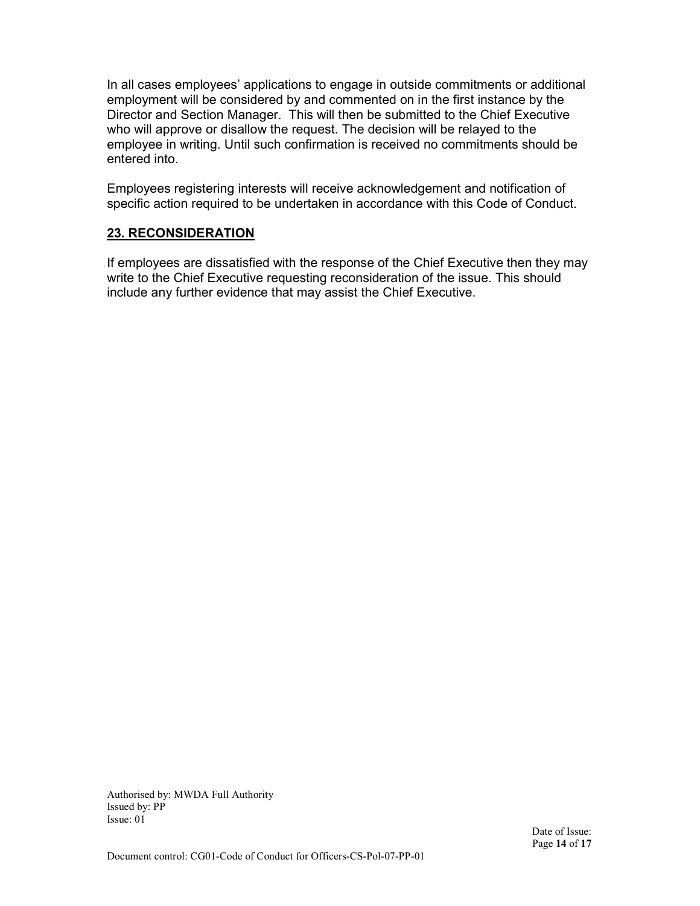In all cases employees' applications to engage in outside commitments or additional employment will be considered by and commented on in the first instance by the Director and Section Manager. This will then be submitted to the Chief Executive who will approve or disallow the request. The decision will be relayed to the employee in writing. Until such confirmation is received no commitments should be entered into.

Employees registering interests will receive acknowledgement and notification of specific action required to be undertaken in accordance with this Code of Conduct.

#### **23. RECONSIDERATION**

If employees are dissatisfied with the response of the Chief Executive then they may write to the Chief Executive requesting reconsideration of the issue. This should include any further evidence that may assist the Chief Executive.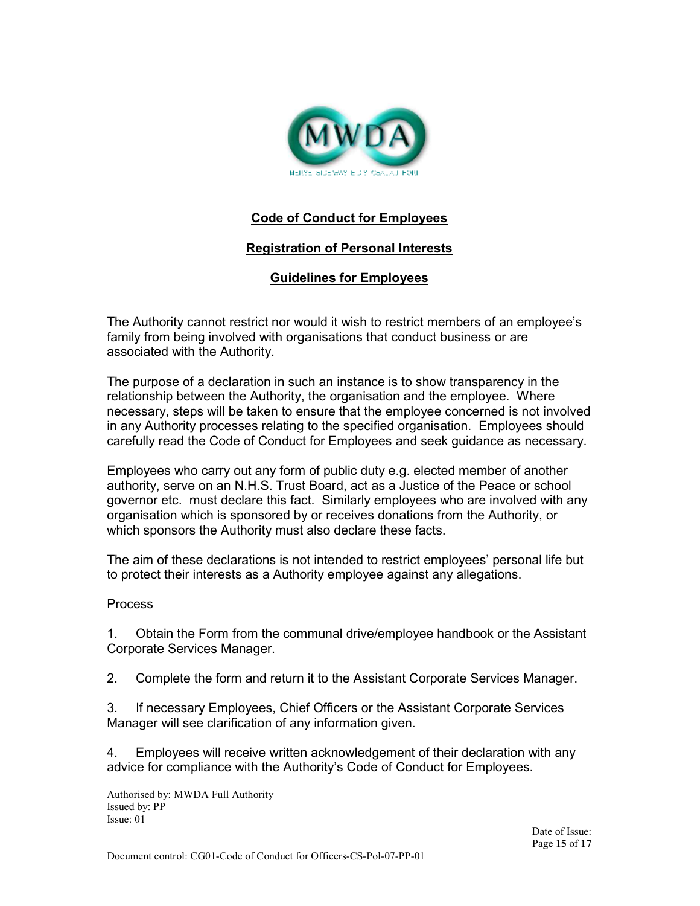

# **Code of Conduct for Employees**

#### **Registration of Personal Interests**

#### **Guidelines for Employees**

The Authority cannot restrict nor would it wish to restrict members of an employee's family from being involved with organisations that conduct business or are associated with the Authority.

The purpose of a declaration in such an instance is to show transparency in the relationship between the Authority, the organisation and the employee. Where necessary, steps will be taken to ensure that the employee concerned is not involved in any Authority processes relating to the specified organisation. Employees should carefully read the Code of Conduct for Employees and seek guidance as necessary.

Employees who carry out any form of public duty e.g. elected member of another authority, serve on an N.H.S. Trust Board, act as a Justice of the Peace or school governor etc. must declare this fact. Similarly employees who are involved with any organisation which is sponsored by or receives donations from the Authority, or which sponsors the Authority must also declare these facts.

The aim of these declarations is not intended to restrict employees' personal life but to protect their interests as a Authority employee against any allegations.

#### Process

1. Obtain the Form from the communal drive/employee handbook or the Assistant Corporate Services Manager.

2. Complete the form and return it to the Assistant Corporate Services Manager.

3. If necessary Employees, Chief Officers or the Assistant Corporate Services Manager will see clarification of any information given.

4. Employees will receive written acknowledgement of their declaration with any advice for compliance with the Authority's Code of Conduct for Employees.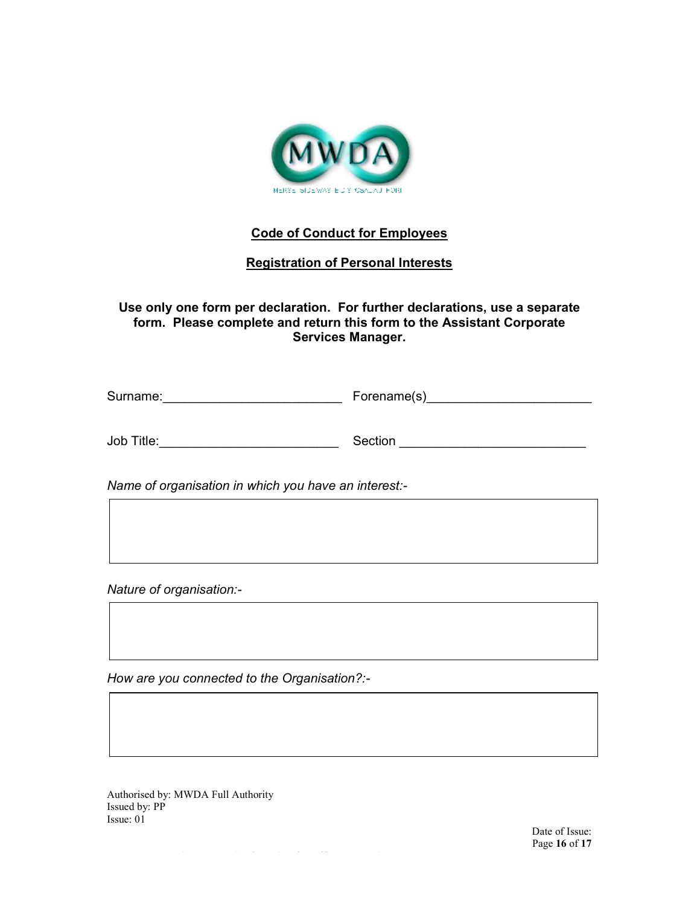

# **Code of Conduct for Employees**

# **Registration of Personal Interests**

**Use only one form per declaration. For further declarations, use a separate form. Please complete and return this form to the Assistant Corporate Services Manager.** 

| Surname: | Forename(s) |
|----------|-------------|
|----------|-------------|

| Job Title: | Section |
|------------|---------|
|            |         |

*Name of organisation in which you have an interest:-* 

*Nature of organisation:-* 

*How are you connected to the Organisation?:-*